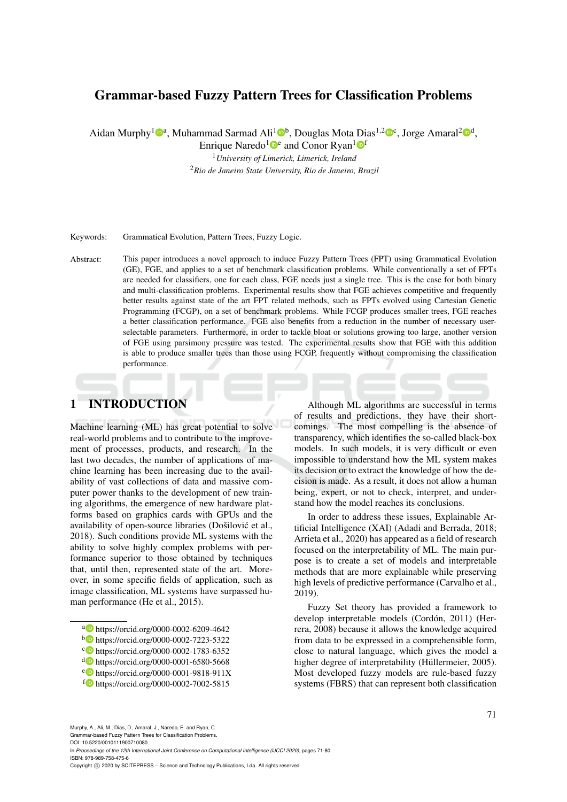# Grammar-based Fuzzy Pattern Trees for Classification Problems

Aidan Murphy<sup>1</sup><sup>®</sup>, Muhammad Sarmad Ali<sup>1</sup><sup>®</sup>, Douglas Mota Dias<sup>1,2</sup><sup>®</sup>c, Jorge Amaral<sup>2</sup><sup>®</sup>,

Enrique Naredo<sup>1</sup><sup>D</sup><sup>e</sup> and Conor Ryan<sup>1</sup><sup>D</sup><sup>f</sup>

<sup>1</sup>*University of Limerick, Limerick, Ireland* <sup>2</sup>*Rio de Janeiro State University, Rio de Janeiro, Brazil*

Keywords: Grammatical Evolution, Pattern Trees, Fuzzy Logic.

Abstract: This paper introduces a novel approach to induce Fuzzy Pattern Trees (FPT) using Grammatical Evolution (GE), FGE, and applies to a set of benchmark classification problems. While conventionally a set of FPTs are needed for classifiers, one for each class, FGE needs just a single tree. This is the case for both binary and multi-classification problems. Experimental results show that FGE achieves competitive and frequently better results against state of the art FPT related methods, such as FPTs evolved using Cartesian Genetic Programming (FCGP), on a set of benchmark problems. While FCGP produces smaller trees, FGE reaches a better classification performance. FGE also benefits from a reduction in the number of necessary userselectable parameters. Furthermore, in order to tackle bloat or solutions growing too large, another version of FGE using parsimony pressure was tested. The experimental results show that FGE with this addition is able to produce smaller trees than those using FCGP, frequently without compromising the classification performance.

# 1 INTRODUCTION

Machine learning (ML) has great potential to solve real-world problems and to contribute to the improvement of processes, products, and research. In the last two decades, the number of applications of machine learning has been increasing due to the availability of vast collections of data and massive computer power thanks to the development of new training algorithms, the emergence of new hardware platforms based on graphics cards with GPUs and the availability of open-source libraries (Došilović et al., 2018). Such conditions provide ML systems with the ability to solve highly complex problems with performance superior to those obtained by techniques that, until then, represented state of the art. Moreover, in some specific fields of application, such as image classification, ML systems have surpassed human performance (He et al., 2015).

- <sup>a</sup> https://orcid.org/0000-0002-6209-4642
- <sup>b</sup> https://orcid.org/0000-0002-7223-5322
- c https://orcid.org/0000-0002-1783-6352
- <sup>d</sup> https://orcid.org/0000-0001-6580-5668
- <sup>e</sup> https://orcid.org/0000-0001-9818-911X
- $f_{\odot}$  https://orcid.org/0000-0002-7002-5815

Although ML algorithms are successful in terms of results and predictions, they have their shortcomings. The most compelling is the absence of transparency, which identifies the so-called black-box models. In such models, it is very difficult or even impossible to understand how the ML system makes its decision or to extract the knowledge of how the decision is made. As a result, it does not allow a human being, expert, or not to check, interpret, and understand how the model reaches its conclusions.

In order to address these issues, Explainable Artificial Intelligence (XAI) (Adadi and Berrada, 2018; Arrieta et al., 2020) has appeared as a field of research focused on the interpretability of ML. The main purpose is to create a set of models and interpretable methods that are more explainable while preserving high levels of predictive performance (Carvalho et al., 2019).

Fuzzy Set theory has provided a framework to develop interpretable models (Cordón, 2011) (Herrera, 2008) because it allows the knowledge acquired from data to be expressed in a comprehensible form, close to natural language, which gives the model a higher degree of interpretability (Hüllermeier, 2005). Most developed fuzzy models are rule-based fuzzy systems (FBRS) that can represent both classification

DOI: 10.5220/0010111900710080

In *Proceedings of the 12th International Joint Conference on Computational Intelligence (IJCCI 2020)*, pages 71-80 ISBN: 978-989-758-475-6

Copyright (C) 2020 by SCITEPRESS - Science and Technology Publications, Lda. All rights reserved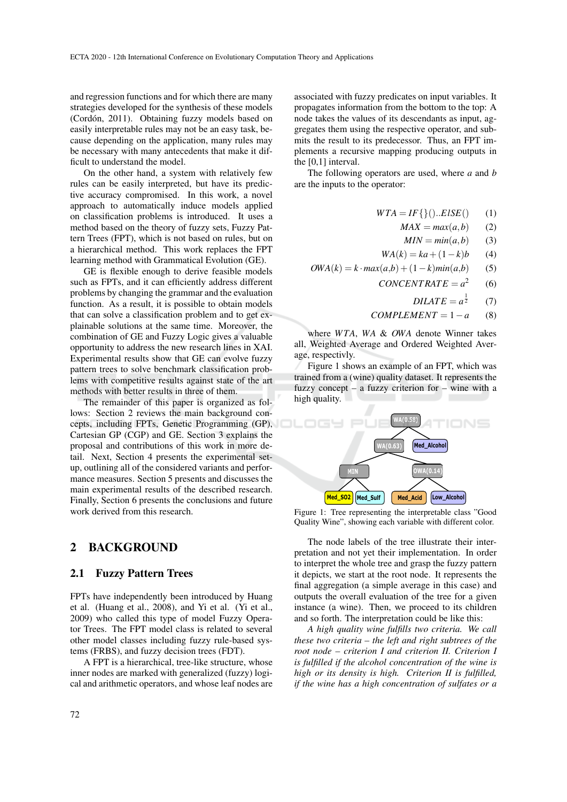and regression functions and for which there are many strategies developed for the synthesis of these models (Cordón, 2011). Obtaining fuzzy models based on easily interpretable rules may not be an easy task, because depending on the application, many rules may be necessary with many antecedents that make it difficult to understand the model.

On the other hand, a system with relatively few rules can be easily interpreted, but have its predictive accuracy compromised. In this work, a novel approach to automatically induce models applied on classification problems is introduced. It uses a method based on the theory of fuzzy sets, Fuzzy Pattern Trees (FPT), which is not based on rules, but on a hierarchical method. This work replaces the FPT learning method with Grammatical Evolution (GE).

GE is flexible enough to derive feasible models such as FPTs, and it can efficiently address different problems by changing the grammar and the evaluation function. As a result, it is possible to obtain models that can solve a classification problem and to get explainable solutions at the same time. Moreover, the combination of GE and Fuzzy Logic gives a valuable opportunity to address the new research lines in XAI. Experimental results show that GE can evolve fuzzy pattern trees to solve benchmark classification problems with competitive results against state of the art methods with better results in three of them.

The remainder of this paper is organized as follows: Section 2 reviews the main background concepts, including FPTs, Genetic Programming (GP), Cartesian GP (CGP) and GE. Section 3 explains the proposal and contributions of this work in more detail. Next, Section 4 presents the experimental setup, outlining all of the considered variants and performance measures. Section 5 presents and discusses the main experimental results of the described research. Finally, Section 6 presents the conclusions and future work derived from this research.

### 2 BACKGROUND

#### 2.1 Fuzzy Pattern Trees

FPTs have independently been introduced by Huang et al. (Huang et al., 2008), and Yi et al. (Yi et al., 2009) who called this type of model Fuzzy Operator Trees. The FPT model class is related to several other model classes including fuzzy rule-based systems (FRBS), and fuzzy decision trees (FDT).

A FPT is a hierarchical, tree-like structure, whose inner nodes are marked with generalized (fuzzy) logical and arithmetic operators, and whose leaf nodes are

associated with fuzzy predicates on input variables. It propagates information from the bottom to the top: A node takes the values of its descendants as input, aggregates them using the respective operator, and submits the result to its predecessor. Thus, an FPT implements a recursive mapping producing outputs in the [0,1] interval.

The following operators are used, where *a* and *b* are the inputs to the operator:

$$
WTA = IF\{\}().ElSE() \qquad (1)
$$

$$
MAX = max(a, b) \qquad (2)
$$

$$
MIN = min(a, b) \qquad (3)
$$

$$
WA(k) = ka + (1 - k)b \qquad (4)
$$

- $OWA(k) = k \cdot max(a,b) + (1-k)min(a,b)$  (5)
	- $CONCENT RATE =  $a^2$$ (6)
		- $DILATE = a^{\frac{1}{2}}$  $(7)$
	- $COMPLEMENT = 1-a$  (8)

where *W TA*, *WA* & *OWA* denote Winner takes all, Weighted Average and Ordered Weighted Average, respectivly.

Figure 1 shows an example of an FPT, which was trained from a (wine) quality dataset. It represents the fuzzy concept – a fuzzy criterion for – wine with a high quality.



Figure 1: Tree representing the interpretable class "Good Quality Wine", showing each variable with different color.

The node labels of the tree illustrate their interpretation and not yet their implementation. In order to interpret the whole tree and grasp the fuzzy pattern it depicts, we start at the root node. It represents the final aggregation (a simple average in this case) and outputs the overall evaluation of the tree for a given instance (a wine). Then, we proceed to its children and so forth. The interpretation could be like this:

*A high quality wine fulfills two criteria. We call these two criteria – the left and right subtrees of the root node – criterion I and criterion II. Criterion I is fulfilled if the alcohol concentration of the wine is high or its density is high. Criterion II is fulfilled, if the wine has a high concentration of sulfates or a*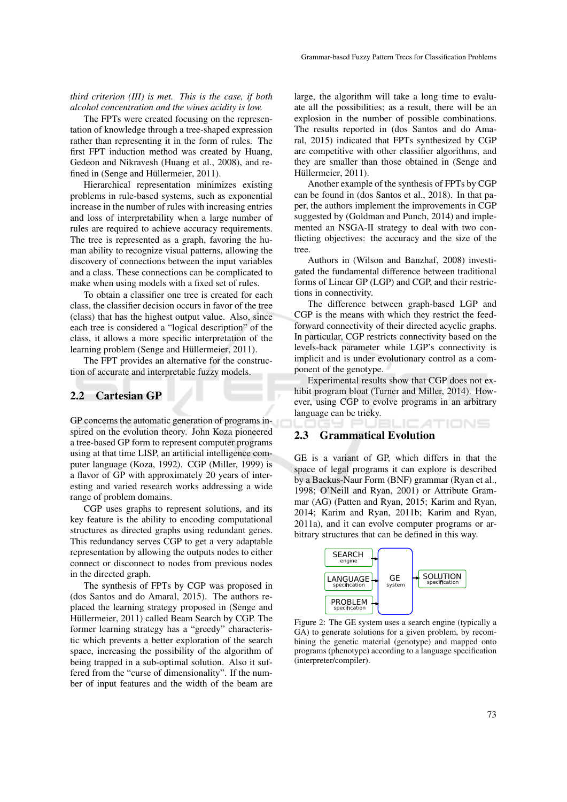*third criterion (III) is met. This is the case, if both alcohol concentration and the wines acidity is low.*

The FPTs were created focusing on the representation of knowledge through a tree-shaped expression rather than representing it in the form of rules. The first FPT induction method was created by Huang, Gedeon and Nikravesh (Huang et al., 2008), and refined in (Senge and Hüllermeier, 2011).

Hierarchical representation minimizes existing problems in rule-based systems, such as exponential increase in the number of rules with increasing entries and loss of interpretability when a large number of rules are required to achieve accuracy requirements. The tree is represented as a graph, favoring the human ability to recognize visual patterns, allowing the discovery of connections between the input variables and a class. These connections can be complicated to make when using models with a fixed set of rules.

To obtain a classifier one tree is created for each class, the classifier decision occurs in favor of the tree (class) that has the highest output value. Also, since each tree is considered a "logical description" of the class, it allows a more specific interpretation of the learning problem (Senge and Hüllermeier, 2011).

The FPT provides an alternative for the construction of accurate and interpretable fuzzy models.

### 2.2 Cartesian GP

GP concerns the automatic generation of programs inspired on the evolution theory. John Koza pioneered a tree-based GP form to represent computer programs using at that time LISP, an artificial intelligence computer language (Koza, 1992). CGP (Miller, 1999) is a flavor of GP with approximately 20 years of interesting and varied research works addressing a wide range of problem domains.

CGP uses graphs to represent solutions, and its key feature is the ability to encoding computational structures as directed graphs using redundant genes. This redundancy serves CGP to get a very adaptable representation by allowing the outputs nodes to either connect or disconnect to nodes from previous nodes in the directed graph.

The synthesis of FPTs by CGP was proposed in (dos Santos and do Amaral, 2015). The authors replaced the learning strategy proposed in (Senge and Hüllermeier, 2011) called Beam Search by CGP. The former learning strategy has a "greedy" characteristic which prevents a better exploration of the search space, increasing the possibility of the algorithm of being trapped in a sub-optimal solution. Also it suffered from the "curse of dimensionality". If the number of input features and the width of the beam are

large, the algorithm will take a long time to evaluate all the possibilities; as a result, there will be an explosion in the number of possible combinations. The results reported in (dos Santos and do Amaral, 2015) indicated that FPTs synthesized by CGP are competitive with other classifier algorithms, and they are smaller than those obtained in (Senge and Hüllermeier, 2011).

Another example of the synthesis of FPTs by CGP can be found in (dos Santos et al., 2018). In that paper, the authors implement the improvements in CGP suggested by (Goldman and Punch, 2014) and implemented an NSGA-II strategy to deal with two conflicting objectives: the accuracy and the size of the tree.

Authors in (Wilson and Banzhaf, 2008) investigated the fundamental difference between traditional forms of Linear GP (LGP) and CGP, and their restrictions in connectivity.

The difference between graph-based LGP and CGP is the means with which they restrict the feedforward connectivity of their directed acyclic graphs. In particular, CGP restricts connectivity based on the levels-back parameter while LGP's connectivity is implicit and is under evolutionary control as a component of the genotype.

Experimental results show that CGP does not exhibit program bloat (Turner and Miller, 2014). However, using CGP to evolve programs in an arbitrary language can be tricky.

ATIONS

#### 2.3 Grammatical Evolution

GE is a variant of GP, which differs in that the space of legal programs it can explore is described by a Backus-Naur Form (BNF) grammar (Ryan et al., 1998; O'Neill and Ryan, 2001) or Attribute Grammar (AG) (Patten and Ryan, 2015; Karim and Ryan, 2014; Karim and Ryan, 2011b; Karim and Ryan, 2011a), and it can evolve computer programs or arbitrary structures that can be defined in this way.



Figure 2: The GE system uses a search engine (typically a GA) to generate solutions for a given problem, by recombining the genetic material (genotype) and mapped onto programs (phenotype) according to a language specification (interpreter/compiler).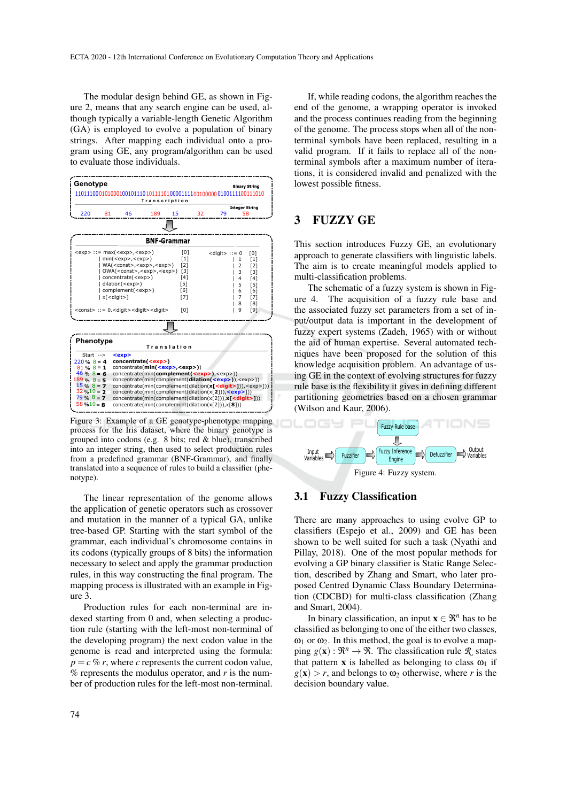The modular design behind GE, as shown in Figure 2, means that any search engine can be used, although typically a variable-length Genetic Algorithm (GA) is employed to evolve a population of binary strings. After mapping each individual onto a program using GE, any program/algorithm can be used to evaluate those individuals.



Figure 3: Example of a GE genotype-phenotype mapping process for the Iris dataset, where the binary genotype is grouped into codons (e.g. 8 bits; red & blue), transcribed into an integer string, then used to select production rules from a predefined grammar (BNF-Grammar), and finally translated into a sequence of rules to build a classifier (phenotype).

The linear representation of the genome allows the application of genetic operators such as crossover and mutation in the manner of a typical GA, unlike tree-based GP. Starting with the start symbol of the grammar, each individual's chromosome contains in its codons (typically groups of 8 bits) the information necessary to select and apply the grammar production rules, in this way constructing the final program. The mapping process is illustrated with an example in Figure 3.

Production rules for each non-terminal are indexed starting from 0 and, when selecting a production rule (starting with the left-most non-terminal of the developing program) the next codon value in the genome is read and interpreted using the formula:  $p = c \, %$  *r*, where *c* represents the current codon value, % represents the modulus operator, and *r* is the number of production rules for the left-most non-terminal.

If, while reading codons, the algorithm reaches the end of the genome, a wrapping operator is invoked and the process continues reading from the beginning of the genome. The process stops when all of the nonterminal symbols have been replaced, resulting in a valid program. If it fails to replace all of the nonterminal symbols after a maximum number of iterations, it is considered invalid and penalized with the lowest possible fitness.

## 3 FUZZY GE

This section introduces Fuzzy GE, an evolutionary approach to generate classifiers with linguistic labels. The aim is to create meaningful models applied to multi-classification problems.

The schematic of a fuzzy system is shown in Figure 4. The acquisition of a fuzzy rule base and the associated fuzzy set parameters from a set of input/output data is important in the development of fuzzy expert systems (Zadeh, 1965) with or without the aid of human expertise. Several automated techniques have been proposed for the solution of this knowledge acquisition problem. An advantage of using GE in the context of evolving structures for fuzzy rule base is the flexibility it gives in defining different partitioning geometries based on a chosen grammar (Wilson and Kaur, 2006).



## 3.1 Fuzzy Classification

There are many approaches to using evolve GP to classifiers (Espejo et al., 2009) and GE has been shown to be well suited for such a task (Nyathi and Pillay, 2018). One of the most popular methods for evolving a GP binary classifier is Static Range Selection, described by Zhang and Smart, who later proposed Centred Dynamic Class Boundary Determination (CDCBD) for multi-class classification (Zhang and Smart, 2004).

In binary classification, an input  $\mathbf{x} \in \mathbb{R}^n$  has to be classified as belonging to one of the either two classes,  $\omega_1$  or  $\omega_2$ . In this method, the goal is to evolve a mapping  $g(\mathbf{x}) : \mathbb{R}^n \to \mathbb{R}$ . The classification rule  $\mathbb{R}$  states that pattern **x** is labelled as belonging to class  $\omega_1$  if  $g(x) > r$ , and belongs to  $\omega_2$  otherwise, where *r* is the decision boundary value.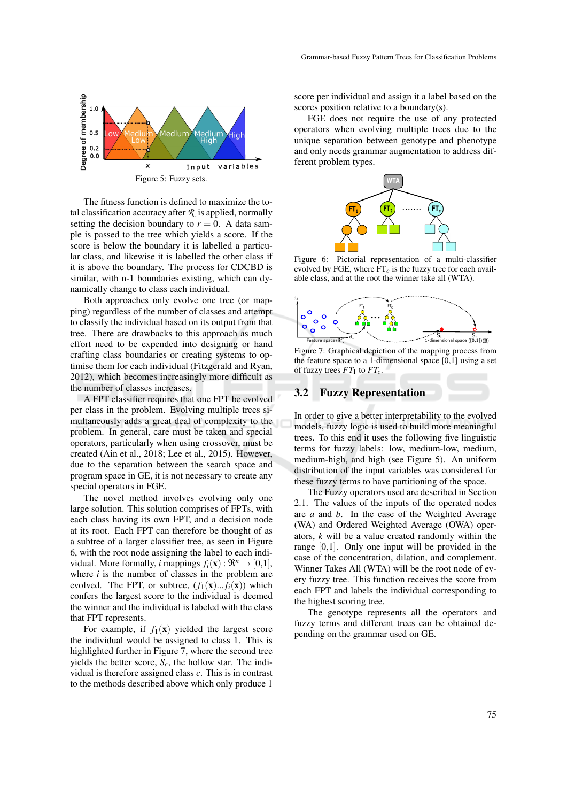

The fitness function is defined to maximize the total classification accuracy after  $R$  is applied, normally setting the decision boundary to  $r = 0$ . A data sample is passed to the tree which yields a score. If the score is below the boundary it is labelled a particular class, and likewise it is labelled the other class if it is above the boundary. The process for CDCBD is similar, with n-1 boundaries existing, which can dynamically change to class each individual.

Both approaches only evolve one tree (or mapping) regardless of the number of classes and attempt to classify the individual based on its output from that tree. There are drawbacks to this approach as much effort need to be expended into designing or hand crafting class boundaries or creating systems to optimise them for each individual (Fitzgerald and Ryan, 2012), which becomes increasingly more difficult as the number of classes increases.

A FPT classifier requires that one FPT be evolved per class in the problem. Evolving multiple trees simultaneously adds a great deal of complexity to the problem. In general, care must be taken and special operators, particularly when using crossover, must be created (Ain et al., 2018; Lee et al., 2015). However, due to the separation between the search space and program space in GE, it is not necessary to create any special operators in FGE.

The novel method involves evolving only one large solution. This solution comprises of FPTs, with each class having its own FPT, and a decision node at its root. Each FPT can therefore be thought of as a subtree of a larger classifier tree, as seen in Figure 6, with the root node assigning the label to each individual. More formally, *i* mappings  $f_i(\mathbf{x}) : \mathbb{R}^n \to [0,1],$ where *i* is the number of classes in the problem are evolved. The FPT, or subtree,  $(f_1(\mathbf{x})... f_i(\mathbf{x}))$  which confers the largest score to the individual is deemed the winner and the individual is labeled with the class that FPT represents.

For example, if  $f_1(x)$  yielded the largest score the individual would be assigned to class 1. This is highlighted further in Figure 7, where the second tree yields the better score, *Sc*, the hollow star. The individual is therefore assigned class *c*. This is in contrast to the methods described above which only produce 1

score per individual and assign it a label based on the scores position relative to a boundary(s).

FGE does not require the use of any protected operators when evolving multiple trees due to the unique separation between genotype and phenotype and only needs grammar augmentation to address different problem types.



Figure 6: Pictorial representation of a multi-classifier evolved by FGE, where  $FT<sub>c</sub>$  is the fuzzy tree for each available class, and at the root the winner take all (WTA).



Figure 7: Graphical depiction of the mapping process from the feature space to a 1-dimensional space  $[0,1]$  using a set of fuzzy trees  $FT_1$  to  $FT_c$ .

### 3.2 Fuzzy Representation

In order to give a better interpretability to the evolved models, fuzzy logic is used to build more meaningful trees. To this end it uses the following five linguistic terms for fuzzy labels: low, medium-low, medium, medium-high, and high (see Figure 5). An uniform distribution of the input variables was considered for these fuzzy terms to have partitioning of the space.

The Fuzzy operators used are described in Section 2.1. The values of the inputs of the operated nodes are *a* and *b*. In the case of the Weighted Average (WA) and Ordered Weighted Average (OWA) operators, *k* will be a value created randomly within the range [0,1]. Only one input will be provided in the case of the concentration, dilation, and complement. Winner Takes All (WTA) will be the root node of every fuzzy tree. This function receives the score from each FPT and labels the individual corresponding to the highest scoring tree.

The genotype represents all the operators and fuzzy terms and different trees can be obtained depending on the grammar used on GE.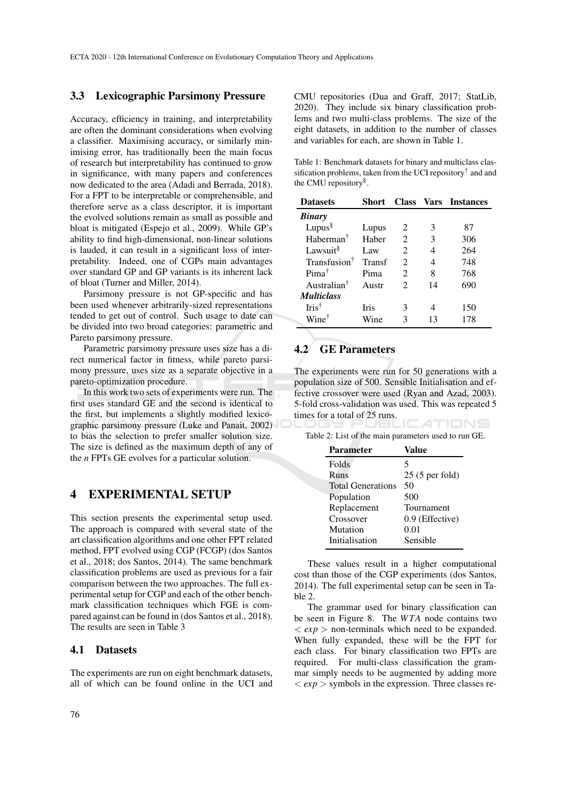#### 3.3 Lexicographic Parsimony Pressure

Accuracy, efficiency in training, and interpretability are often the dominant considerations when evolving a classifier. Maximising accuracy, or similarly minimising error, has traditionally been the main focus of research but interpretability has continued to grow in significance, with many papers and conferences now dedicated to the area (Adadi and Berrada, 2018). For a FPT to be interpretable or comprehensible, and therefore serve as a class descriptor, it is important the evolved solutions remain as small as possible and bloat is mitigated (Espejo et al., 2009). While GP's ability to find high-dimensional, non-linear solutions is lauded, it can result in a significant loss of interpretability. Indeed, one of CGPs main advantages over standard GP and GP variants is its inherent lack of bloat (Turner and Miller, 2014).

Parsimony pressure is not GP-specific and has been used whenever arbitrarily-sized representations tended to get out of control. Such usage to date can be divided into two broad categories: parametric and Pareto parsimony pressure.

Parametric parsimony pressure uses size has a direct numerical factor in fitness, while pareto parsimony pressure, uses size as a separate objective in a pareto-optimization procedure.

In this work two sets of experiments were run. The first uses standard GE and the second is identical to the first, but implements a slightly modified lexicographic parsimony pressure (Luke and Panait, 2002) to bias the selection to prefer smaller solution size. The size is defined as the maximum depth of any of the *n* FPTs GE evolves for a particular solution.

# 4 EXPERIMENTAL SETUP

This section presents the experimental setup used. The approach is compared with several state of the art classification algorithms and one other FPT related method, FPT evolved using CGP (FCGP) (dos Santos et al., 2018; dos Santos, 2014). The same benchmark classification problems are used as previous for a fair comparison between the two approaches. The full experimental setup for CGP and each of the other benchmark classification techniques which FGE is compared against can be found in (dos Santos et al., 2018). The results are seen in Table 3

#### 4.1 Datasets

The experiments are run on eight benchmark datasets, all of which can be found online in the UCI and CMU repositories (Dua and Graff, 2017; StatLib, 2020). They include six binary classification problems and two multi-class problems. The size of the eight datasets, in addition to the number of classes and variables for each, are shown in Table 1.

Table 1: Benchmark datasets for binary and multiclass classification problems, taken from the UCI repository† and and the CMU repository§ .

| <b>Datasets</b>          | Short       |                             |    | <b>Class Vars Instances</b> |
|--------------------------|-------------|-----------------------------|----|-----------------------------|
| <b>Binary</b>            |             |                             |    |                             |
| Lupus $\frac{8}{3}$      | Lupus       | 2                           | 3  | 87                          |
| $H$ aberman <sup>†</sup> | Haber       | 2                           | 3  | 306                         |
| Lawsuit <sup>§</sup>     | Law         | 2                           | 4  | 264                         |
| Transfusion <sup>†</sup> | Transf      | $\mathcal{D}_{\mathcal{L}}$ | 4  | 748                         |
| $Pima^{\dagger}$         | Pima        | $\mathfrak{D}$              | 8  | 768                         |
| Australian <sup>†</sup>  | Austr       | $\mathcal{D}_{\mathcal{L}}$ | 14 | 690                         |
| <i>Multiclass</i>        |             |                             |    |                             |
| $Iris^{\dagger}$         | <b>Iris</b> | 3                           |    | 150                         |
| Wine <sup>†</sup>        | Wine        | 3                           | 13 | 178                         |

## 4.2 GE Parameters

The experiments were run for 50 generations with a population size of 500. Sensible Initialisation and effective crossover were used (Ryan and Azad, 2003). 5-fold cross-validation was used. This was repeated 5 times for a total of 25 runs. TIONS

Table 2: List of the main parameters used to run GE.

| <b>Parameter</b>         | Value           |
|--------------------------|-----------------|
| Folds                    | 5               |
| Runs                     | 25 (5 per fold) |
| <b>Total Generations</b> | 50              |
| Population               | 500             |
| Replacement              | Tournament      |
| Crossover                | 0.9 (Effective) |
| Mutation                 | 0.01            |
| Initialisation           | Sensible        |

These values result in a higher computational cost than those of the CGP experiments (dos Santos, 2014). The full experimental setup can be seen in Table 2.

The grammar used for binary classification can be seen in Figure 8. The *W TA* node contains two  $\langle exp \rangle$  non-terminals which need to be expanded. When fully expanded, these will be the FPT for each class. For binary classification two FPTs are required. For multi-class classification the grammar simply needs to be augmented by adding more  $\langle exp \rangle$  symbols in the expression. Three classes re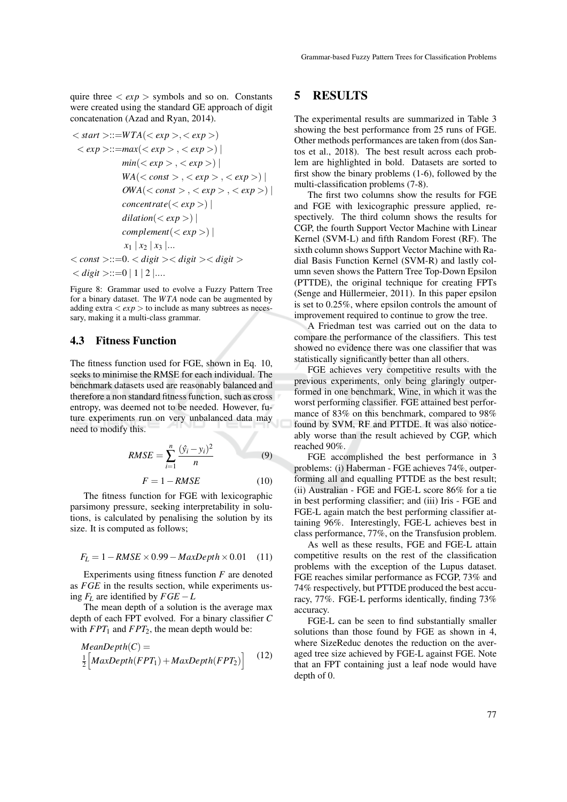quire three  $\langle exp \rangle$  symbols and so on. Constants were created using the standard GE approach of digit concatenation (Azad and Ryan, 2014).

$$
\langle start \rangle ::= WTA(\langle exp \rangle, \langle exp \rangle)
$$
\n
$$
\langle exp \rangle := max(\langle exp \rangle, \langle exp \rangle)
$$
\n
$$
min(\langle exp \rangle, \langle exp \rangle)
$$
\n
$$
WA(\langle const \rangle, \langle exp \rangle, \langle exp \rangle))
$$
\n
$$
OWA(\langle const \rangle, \langle exp \rangle, \langle exp \rangle)
$$
\n
$$
concat(\langle exp \rangle))
$$
\n
$$
clientate(\langle exp \rangle))
$$
\n
$$
dilation(\langle exp \rangle))
$$
\n
$$
x_1 | x_2 | x_3 | ...
$$
\n
$$
\langle const \rangle ::= 0. \langle digit \rangle < digit \rangle
$$
\n
$$
\langle digit \rangle ::= 0 | 1 | 2 | ...
$$

Figure 8: Grammar used to evolve a Fuzzy Pattern Tree for a binary dataset. The *W TA* node can be augmented by adding extra  $\langle exp \rangle$  to include as many subtrees as necessary, making it a multi-class grammar.

# 4.3 Fitness Function

The fitness function used for FGE, shown in Eq. 10, seeks to minimise the RMSE for each individual. The benchmark datasets used are reasonably balanced and therefore a non standard fitness function, such as cross entropy, was deemed not to be needed. However, future experiments run on very unbalanced data may need to modify this.

$$
RMSE = \sum_{i=1}^{n} \frac{(\hat{y}_i - y_i)^2}{n}
$$
 (9)

$$
F = 1 - RMSE \tag{10}
$$

The fitness function for FGE with lexicographic parsimony pressure, seeking interpretability in solutions, is calculated by penalising the solution by its size. It is computed as follows;

$$
F_L = 1 - RMSE \times 0.99 - MaxDepth \times 0.01 \quad (11)
$$

Experiments using fitness function *F* are denoted as *FGE* in the results section, while experiments using  $F_L$  are identified by  $FGE - L$ 

The mean depth of a solution is the average max depth of each FPT evolved. For a binary classifier *C* with  $FPT_1$  and  $FPT_2$ , the mean depth would be:

$$
MeanDepth(C) = \frac{1}{2} \Big[ MaxDepth(FPT_1) + MaxDepth(FPT_2) \Big] \tag{12}
$$

## 5 RESULTS

The experimental results are summarized in Table 3 showing the best performance from 25 runs of FGE. Other methods performances are taken from (dos Santos et al., 2018). The best result across each problem are highlighted in bold. Datasets are sorted to first show the binary problems (1-6), followed by the multi-classification problems (7-8).

The first two columns show the results for FGE and FGE with lexicographic pressure applied, respectively. The third column shows the results for CGP, the fourth Support Vector Machine with Linear Kernel (SVM-L) and fifth Random Forest (RF). The sixth column shows Support Vector Machine with Radial Basis Function Kernel (SVM-R) and lastly column seven shows the Pattern Tree Top-Down Epsilon (PTTDE), the original technique for creating FPTs (Senge and Hüllermeier,  $2011$ ). In this paper epsilon is set to 0.25%, where epsilon controls the amount of improvement required to continue to grow the tree.

A Friedman test was carried out on the data to compare the performance of the classifiers. This test showed no evidence there was one classifier that was statistically significantly better than all others.

FGE achieves very competitive results with the previous experiments, only being glaringly outperformed in one benchmark, Wine, in which it was the worst performing classifier. FGE attained best performance of 83% on this benchmark, compared to 98% found by SVM, RF and PTTDE. It was also noticeably worse than the result achieved by CGP, which reached 90%.

FGE accomplished the best performance in 3 problems: (i) Haberman - FGE achieves 74%, outperforming all and equalling PTTDE as the best result; (ii) Australian - FGE and FGE-L score 86% for a tie in best performing classifier; and (iii) Iris - FGE and FGE-L again match the best performing classifier attaining 96%. Interestingly, FGE-L achieves best in class performance, 77%, on the Transfusion problem.

As well as these results, FGE and FGE-L attain competitive results on the rest of the classification problems with the exception of the Lupus dataset. FGE reaches similar performance as FCGP, 73% and 74% respectively, but PTTDE produced the best accuracy, 77%. FGE-L performs identically, finding 73% accuracy.

FGE-L can be seen to find substantially smaller solutions than those found by FGE as shown in 4, where SizeReduc denotes the reduction on the averaged tree size achieved by FGE-L against FGE. Note that an FPT containing just a leaf node would have depth of 0.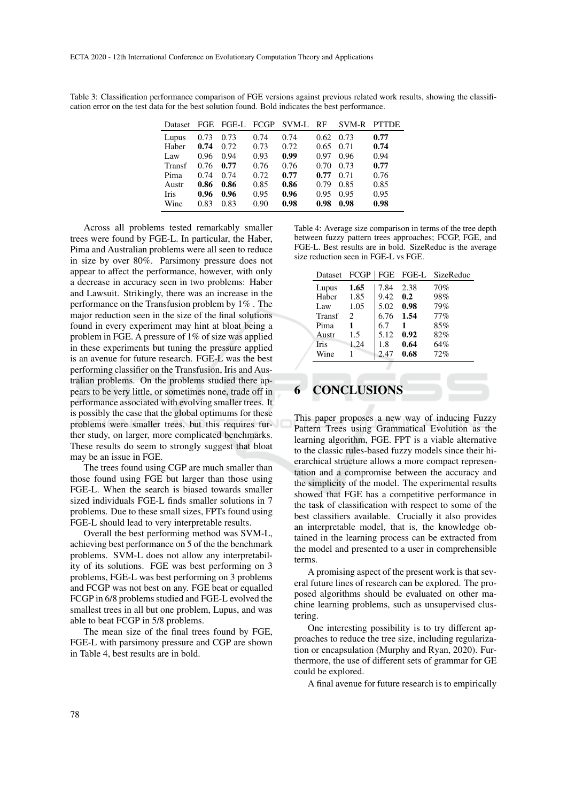Table 3: Classification performance comparison of FGE versions against previous related work results, showing the classification error on the test data for the best solution found. Bold indicates the best performance.

| Dataset       | <b>FGE</b> | FGE-L FCGP |      | SVM-L | - RF | SVM-R | <b>PTTDE</b> |
|---------------|------------|------------|------|-------|------|-------|--------------|
| Lupus         | 0.73       | 0.73       | 0.74 | 0.74  | 0.62 | 0.73  | 0.77         |
| Haber         | 0.74       | 0.72       | 0.73 | 0.72  | 0.65 | 0.71  | 0.74         |
| Law           | 0.96       | 0.94       | 0.93 | 0.99  | 0.97 | 0.96  | 0.94         |
| <b>Transf</b> | 0.76       | 0.77       | 0.76 | 0.76  | 0.70 | 0.73  | 0.77         |
| Pima          | 0.74       | 0.74       | 0.72 | 0.77  | 0.77 | 0.71  | 0.76         |
| Austr         | 0.86       | 0.86       | 0.85 | 0.86  | 0.79 | 0.85  | 0.85         |
| <b>Iris</b>   | 0.96       | 0.96       | 0.95 | 0.96  | 0.95 | 0.95  | 0.95         |
| Wine          | 0.83       | 0.83       | 0.90 | 0.98  | 0.98 | 0.98  | 0.98         |

Across all problems tested remarkably smaller trees were found by FGE-L. In particular, the Haber, Pima and Australian problems were all seen to reduce in size by over 80%. Parsimony pressure does not appear to affect the performance, however, with only a decrease in accuracy seen in two problems: Haber and Lawsuit. Strikingly, there was an increase in the performance on the Transfusion problem by 1% . The major reduction seen in the size of the final solutions found in every experiment may hint at bloat being a problem in FGE. A pressure of 1% of size was applied in these experiments but tuning the pressure applied is an avenue for future research. FGE-L was the best performing classifier on the Transfusion, Iris and Australian problems. On the problems studied there appears to be very little, or sometimes none, trade off in performance associated with evolving smaller trees. It is possibly the case that the global optimums for these problems were smaller trees, but this requires further study, on larger, more complicated benchmarks. These results do seem to strongly suggest that bloat may be an issue in FGE.

The trees found using CGP are much smaller than those found using FGE but larger than those using FGE-L. When the search is biased towards smaller sized individuals FGE-L finds smaller solutions in 7 problems. Due to these small sizes, FPTs found using FGE-L should lead to very interpretable results.

Overall the best performing method was SVM-L, achieving best performance on 5 of the the benchmark problems. SVM-L does not allow any interpretability of its solutions. FGE was best performing on 3 problems, FGE-L was best performing on 3 problems and FCGP was not best on any. FGE beat or equalled FCGP in 6/8 problems studied and FGE-L evolved the smallest trees in all but one problem, Lupus, and was able to beat FCGP in 5/8 problems.

The mean size of the final trees found by FGE, FGE-L with parsimony pressure and CGP are shown in Table 4, best results are in bold.

Table 4: Average size comparison in terms of the tree depth between fuzzy pattern trees approaches; FCGP, FGE, and FGE-L. Best results are in bold. SizeReduc is the average size reduction seen in FGE-L vs FGE.

| Dataset FCGP  |                             |      |      | FGE FGE-L SizeReduc |
|---------------|-----------------------------|------|------|---------------------|
| Lupus         | 1.65                        | 7.84 | 2.38 | 70%                 |
| Haber         | 1.85                        | 9.42 | 0.2  | 98%                 |
| Law           | 1.05                        | 5.02 | 0.98 | 79%                 |
| <b>Transf</b> | $\mathcal{D}_{\mathcal{L}}$ | 6.76 | 1.54 | 77%                 |
| Pima          | 1                           | 6.7  | 1    | 85%                 |
| Austr         | 1.5                         | 5.12 | 0.92 | 82%                 |
| <b>Iris</b>   | 1.24                        | 1.8  | 0.64 | 64%                 |
| Wine          |                             | 2.47 | 0.68 | 72%                 |

# **CONCLUSIONS**

This paper proposes a new way of inducing Fuzzy Pattern Trees using Grammatical Evolution as the learning algorithm, FGE. FPT is a viable alternative to the classic rules-based fuzzy models since their hierarchical structure allows a more compact representation and a compromise between the accuracy and the simplicity of the model. The experimental results showed that FGE has a competitive performance in the task of classification with respect to some of the best classifiers available. Crucially it also provides an interpretable model, that is, the knowledge obtained in the learning process can be extracted from the model and presented to a user in comprehensible terms.

A promising aspect of the present work is that several future lines of research can be explored. The proposed algorithms should be evaluated on other machine learning problems, such as unsupervised clustering.

One interesting possibility is to try different approaches to reduce the tree size, including regularization or encapsulation (Murphy and Ryan, 2020). Furthermore, the use of different sets of grammar for GE could be explored.

A final avenue for future research is to empirically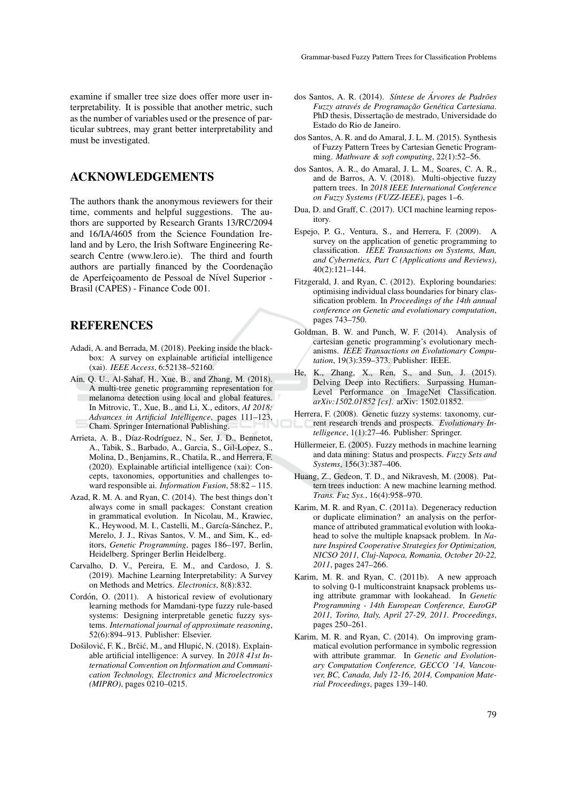examine if smaller tree size does offer more user interpretability. It is possible that another metric, such as the number of variables used or the presence of particular subtrees, may grant better interpretability and must be investigated.

# ACKNOWLEDGEMENTS

The authors thank the anonymous reviewers for their time, comments and helpful suggestions. The authors are supported by Research Grants 13/RC/2094 and 16/IA/4605 from the Science Foundation Ireland and by Lero, the Irish Software Engineering Research Centre (www.lero.ie). The third and fourth authors are partially financed by the Coordenação de Aperfeiçoamento de Pessoal de Nível Superior -Brasil (CAPES) - Finance Code 001.

## **REFERENCES**

- Adadi, A. and Berrada, M. (2018). Peeking inside the blackbox: A survey on explainable artificial intelligence (xai). *IEEE Access*, 6:52138–52160.
- Ain, Q. U., Al-Sahaf, H., Xue, B., and Zhang, M. (2018). A multi-tree genetic programming representation for melanoma detection using local and global features. In Mitrovic, T., Xue, B., and Li, X., editors, *AI 2018: Advances in Artificial Intelligence*, pages 111–123, Cham. Springer International Publishing.
- Arrieta, A. B., Díaz-Rodríguez, N., Ser, J. D., Bennetot, A., Tabik, S., Barbado, A., Garcia, S., Gil-Lopez, S., Molina, D., Benjamins, R., Chatila, R., and Herrera, F. (2020). Explainable artificial intelligence (xai): Concepts, taxonomies, opportunities and challenges toward responsible ai. *Information Fusion*, 58:82 – 115.
- Azad, R. M. A. and Ryan, C. (2014). The best things don't always come in small packages: Constant creation in grammatical evolution. In Nicolau, M., Krawiec, K., Heywood, M. I., Castelli, M., García-Sánchez, P., Merelo, J. J., Rivas Santos, V. M., and Sim, K., editors, *Genetic Programming*, pages 186–197, Berlin, Heidelberg. Springer Berlin Heidelberg.
- Carvalho, D. V., Pereira, E. M., and Cardoso, J. S. (2019). Machine Learning Interpretability: A Survey on Methods and Metrics. *Electronics*, 8(8):832.
- Cordón, O. (2011). A historical review of evolutionary learning methods for Mamdani-type fuzzy rule-based systems: Designing interpretable genetic fuzzy systems. *International journal of approximate reasoning*, 52(6):894–913. Publisher: Elsevier.
- Došilović, F. K., Brčić, M., and Hlupić, N. (2018). Explainable artificial intelligence: A survey. In *2018 41st International Convention on Information and Communication Technology, Electronics and Microelectronics (MIPRO)*, pages 0210–0215.
- dos Santos, A. R. (2014). Síntese de Árvores de Padrões *Fuzzy atraves de Programac¸ ´ ao Gen ˜ etica Cartesiana ´* . PhD thesis, Dissertação de mestrado, Universidade do Estado do Rio de Janeiro.
- dos Santos, A. R. and do Amaral, J. L. M. (2015). Synthesis of Fuzzy Pattern Trees by Cartesian Genetic Programming. *Mathware & soft computing*, 22(1):52–56.
- dos Santos, A. R., do Amaral, J. L. M., Soares, C. A. R., and de Barros, A. V. (2018). Multi-objective fuzzy pattern trees. In *2018 IEEE International Conference on Fuzzy Systems (FUZZ-IEEE)*, pages 1–6.
- Dua, D. and Graff, C. (2017). UCI machine learning repository.
- Espejo, P. G., Ventura, S., and Herrera, F. (2009). A survey on the application of genetic programming to classification. *IEEE Transactions on Systems, Man, and Cybernetics, Part C (Applications and Reviews)*, 40(2):121–144.
- Fitzgerald, J. and Ryan, C. (2012). Exploring boundaries: optimising individual class boundaries for binary classification problem. In *Proceedings of the 14th annual conference on Genetic and evolutionary computation*, pages 743–750.
- Goldman, B. W. and Punch, W. F. (2014). Analysis of cartesian genetic programming's evolutionary mechanisms. *IEEE Transactions on Evolutionary Computation*, 19(3):359–373. Publisher: IEEE.
- He, K., Zhang, X., Ren, S., and Sun, J. (2015). Delving Deep into Rectifiers: Surpassing Human-Level Performance on ImageNet Classification. *arXiv:1502.01852 [cs]*. arXiv: 1502.01852.
- Herrera, F. (2008). Genetic fuzzy systems: taxonomy, current research trends and prospects. *Evolutionary Intelligence*, 1(1):27–46. Publisher: Springer.
- Hüllermeier, E. (2005). Fuzzy methods in machine learning and data mining: Status and prospects. *Fuzzy Sets and Systems*, 156(3):387–406.
- Huang, Z., Gedeon, T. D., and Nikravesh, M. (2008). Pattern trees induction: A new machine learning method. *Trans. Fuz Sys.*, 16(4):958–970.
- Karim, M. R. and Ryan, C. (2011a). Degeneracy reduction or duplicate elimination? an analysis on the performance of attributed grammatical evolution with lookahead to solve the multiple knapsack problem. In *Nature Inspired Cooperative Strategies for Optimization, NICSO 2011, Cluj-Napoca, Romania, October 20-22, 2011*, pages 247–266.
- Karim, M. R. and Ryan, C. (2011b). A new approach to solving 0-1 multiconstraint knapsack problems using attribute grammar with lookahead. In *Genetic Programming - 14th European Conference, EuroGP 2011, Torino, Italy, April 27-29, 2011. Proceedings*, pages 250–261.
- Karim, M. R. and Ryan, C. (2014). On improving grammatical evolution performance in symbolic regression with attribute grammar. In *Genetic and Evolutionary Computation Conference, GECCO '14, Vancouver, BC, Canada, July 12-16, 2014, Companion Material Proceedings*, pages 139–140.